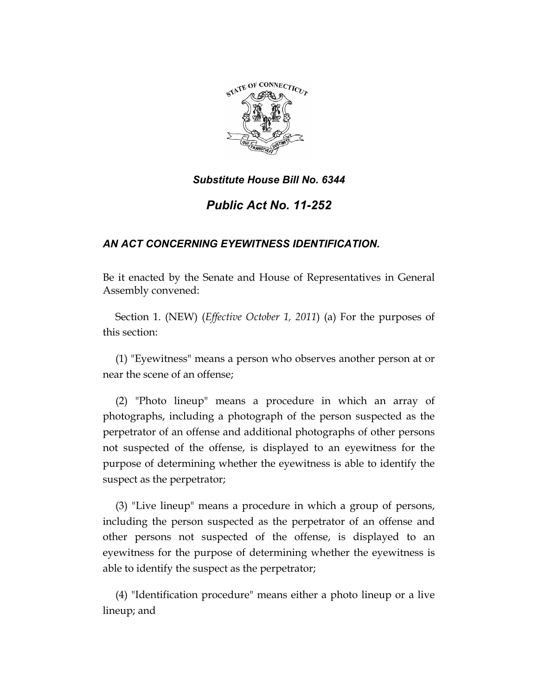

*Public Act No. 11-252* 

# *AN ACT CONCERNING EYEWITNESS IDENTIFICATION.*

Be it enacted by the Senate and House of Representatives in General Assembly convened:

Section 1. (NEW) (*Effective October 1, 2011*) (a) For the purposes of this section:

(1) "Eyewitness" means a person who observes another person at or near the scene of an offense;

(2) "Photo lineup" means a procedure in which an array of photographs, including a photograph of the person suspected as the perpetrator of an offense and additional photographs of other persons not suspected of the offense, is displayed to an eyewitness for the purpose of determining whether the eyewitness is able to identify the suspect as the perpetrator;

(3) "Live lineup" means a procedure in which a group of persons, including the person suspected as the perpetrator of an offense and other persons not suspected of the offense, is displayed to an eyewitness for the purpose of determining whether the eyewitness is able to identify the suspect as the perpetrator;

(4) "Identification procedure" means either a photo lineup or a live lineup; and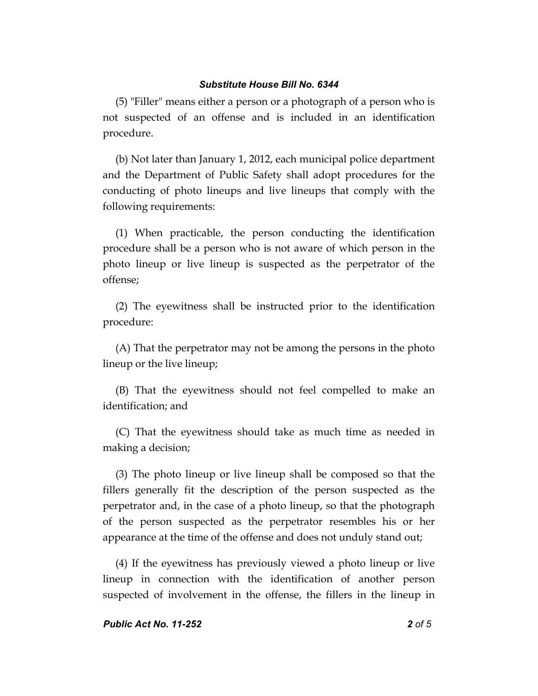(5) "Filler" means either a person or a photograph of a person who is not suspected of an offense and is included in an identification procedure.

(b) Not later than January 1, 2012, each municipal police department and the Department of Public Safety shall adopt procedures for the conducting of photo lineups and live lineups that comply with the following requirements:

(1) When practicable, the person conducting the identification procedure shall be a person who is not aware of which person in the photo lineup or live lineup is suspected as the perpetrator of the offense;

(2) The eyewitness shall be instructed prior to the identification procedure:

(A) That the perpetrator may not be among the persons in the photo lineup or the live lineup;

(B) That the eyewitness should not feel compelled to make an identification; and

(C) That the eyewitness should take as much time as needed in making a decision;

(3) The photo lineup or live lineup shall be composed so that the fillers generally fit the description of the person suspected as the perpetrator and, in the case of a photo lineup, so that the photograph of the person suspected as the perpetrator resembles his or her appearance at the time of the offense and does not unduly stand out;

(4) If the eyewitness has previously viewed a photo lineup or live lineup in connection with the identification of another person suspected of involvement in the offense, the fillers in the lineup in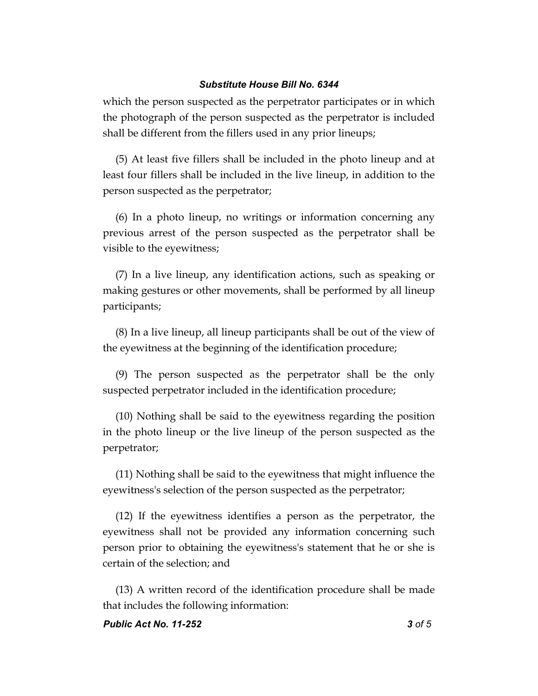which the person suspected as the perpetrator participates or in which the photograph of the person suspected as the perpetrator is included shall be different from the fillers used in any prior lineups;

(5) At least five fillers shall be included in the photo lineup and at least four fillers shall be included in the live lineup, in addition to the person suspected as the perpetrator;

(6) In a photo lineup, no writings or information concerning any previous arrest of the person suspected as the perpetrator shall be visible to the eyewitness;

(7) In a live lineup, any identification actions, such as speaking or making gestures or other movements, shall be performed by all lineup participants;

(8) In a live lineup, all lineup participants shall be out of the view of the eyewitness at the beginning of the identification procedure;

(9) The person suspected as the perpetrator shall be the only suspected perpetrator included in the identification procedure;

(10) Nothing shall be said to the eyewitness regarding the position in the photo lineup or the live lineup of the person suspected as the perpetrator;

(11) Nothing shall be said to the eyewitness that might influence the eyewitness's selection of the person suspected as the perpetrator;

(12) If the eyewitness identifies a person as the perpetrator, the eyewitness shall not be provided any information concerning such person prior to obtaining the eyewitness's statement that he or she is certain of the selection; and

(13) A written record of the identification procedure shall be made that includes the following information: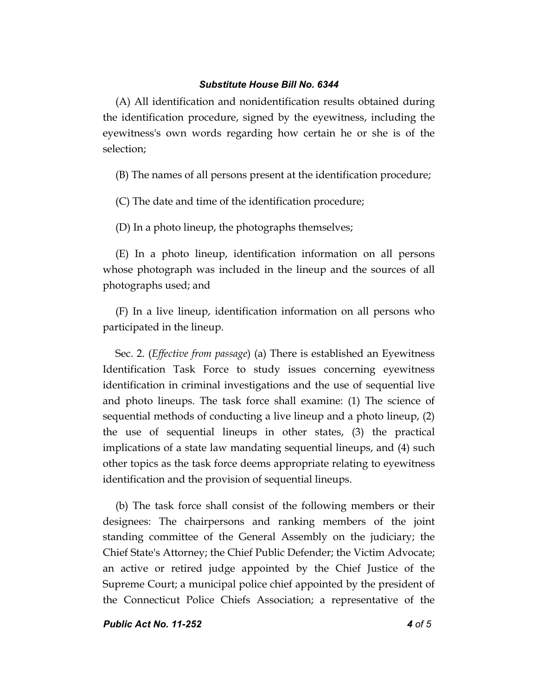(A) All identification and nonidentification results obtained during the identification procedure, signed by the eyewitness, including the eyewitness's own words regarding how certain he or she is of the selection;

(B) The names of all persons present at the identification procedure;

(C) The date and time of the identification procedure;

(D) In a photo lineup, the photographs themselves;

(E) In a photo lineup, identification information on all persons whose photograph was included in the lineup and the sources of all photographs used; and

(F) In a live lineup, identification information on all persons who participated in the lineup.

Sec. 2. (*Effective from passage*) (a) There is established an Eyewitness Identification Task Force to study issues concerning eyewitness identification in criminal investigations and the use of sequential live and photo lineups. The task force shall examine: (1) The science of sequential methods of conducting a live lineup and a photo lineup, (2) the use of sequential lineups in other states, (3) the practical implications of a state law mandating sequential lineups, and (4) such other topics as the task force deems appropriate relating to eyewitness identification and the provision of sequential lineups.

(b) The task force shall consist of the following members or their designees: The chairpersons and ranking members of the joint standing committee of the General Assembly on the judiciary; the Chief State's Attorney; the Chief Public Defender; the Victim Advocate; an active or retired judge appointed by the Chief Justice of the Supreme Court; a municipal police chief appointed by the president of the Connecticut Police Chiefs Association; a representative of the